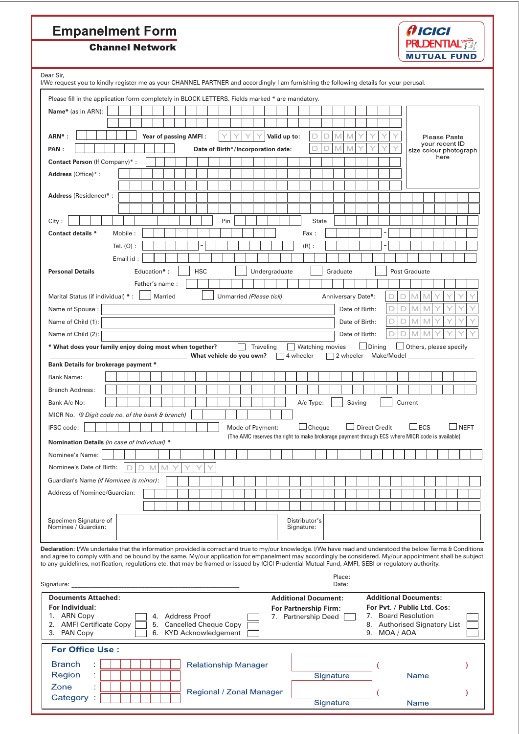## **Empanelment Form**

Zone

Category:

t



**Channel Network** 

| Dear Sir,                                                                                                                                                                                                                                                                                                       |   |                       |          |                                                      |  |                             |     |  |                         |                                                                                                 |           |            |               |              |                 |   |        |                      |        |   |         |                                                     |                       |                        |
|-----------------------------------------------------------------------------------------------------------------------------------------------------------------------------------------------------------------------------------------------------------------------------------------------------------------|---|-----------------------|----------|------------------------------------------------------|--|-----------------------------|-----|--|-------------------------|-------------------------------------------------------------------------------------------------|-----------|------------|---------------|--------------|-----------------|---|--------|----------------------|--------|---|---------|-----------------------------------------------------|-----------------------|------------------------|
| l/We request you to kindly register me as your CHANNEL PARTNER and accordingly I am furnishing the following details for your perusal.                                                                                                                                                                          |   |                       |          |                                                      |  |                             |     |  |                         |                                                                                                 |           |            |               |              |                 |   |        |                      |        |   |         |                                                     |                       |                        |
| Please fill in the application form completely in BLOCK LETTERS. Fields marked * are mandatory.                                                                                                                                                                                                                 |   |                       |          |                                                      |  |                             |     |  |                         |                                                                                                 |           |            |               |              |                 |   |        |                      |        |   |         |                                                     |                       |                        |
| Name* (as in ARN):                                                                                                                                                                                                                                                                                              |   |                       |          |                                                      |  |                             |     |  |                         |                                                                                                 |           |            |               |              |                 |   |        |                      |        |   |         |                                                     |                       |                        |
|                                                                                                                                                                                                                                                                                                                 |   |                       |          |                                                      |  |                             |     |  |                         |                                                                                                 |           |            |               |              |                 |   |        |                      |        |   |         |                                                     |                       |                        |
| ARN <sup>*</sup> :                                                                                                                                                                                                                                                                                              |   | Year of passing AMFI: |          |                                                      |  |                             |     |  |                         | Valid up to:                                                                                    |           |            | D             | D            | M               | M |        |                      |        |   |         |                                                     | <b>Please Paste</b>   |                        |
| PAN:                                                                                                                                                                                                                                                                                                            |   |                       |          |                                                      |  |                             |     |  |                         |                                                                                                 |           |            | D             | D            | М               | M |        |                      |        |   |         |                                                     | your recent <b>ID</b> |                        |
|                                                                                                                                                                                                                                                                                                                 |   |                       |          |                                                      |  |                             |     |  |                         | Date of Birth*/Incorporation date:                                                              |           |            |               |              |                 |   |        |                      |        |   |         |                                                     | here                  | size colour photograph |
| Contact Person (If Company)*:                                                                                                                                                                                                                                                                                   |   |                       |          |                                                      |  |                             |     |  |                         |                                                                                                 |           |            |               |              |                 |   |        |                      |        |   |         |                                                     |                       |                        |
| Address (Office)*:                                                                                                                                                                                                                                                                                              |   |                       |          |                                                      |  |                             |     |  |                         |                                                                                                 |           |            |               |              |                 |   |        |                      |        |   |         |                                                     |                       |                        |
| Address (Residence)*:                                                                                                                                                                                                                                                                                           |   |                       |          |                                                      |  |                             |     |  |                         |                                                                                                 |           |            |               |              |                 |   |        |                      |        |   |         |                                                     |                       |                        |
|                                                                                                                                                                                                                                                                                                                 |   |                       |          |                                                      |  |                             |     |  |                         |                                                                                                 |           |            |               |              |                 |   |        |                      |        |   |         |                                                     |                       |                        |
|                                                                                                                                                                                                                                                                                                                 |   |                       |          |                                                      |  |                             |     |  |                         |                                                                                                 |           |            |               |              |                 |   |        |                      |        |   |         |                                                     |                       |                        |
| City:                                                                                                                                                                                                                                                                                                           |   |                       |          |                                                      |  |                             | Pin |  |                         |                                                                                                 |           |            |               | <b>State</b> |                 |   |        |                      |        |   |         |                                                     |                       |                        |
| <b>Contact details *</b><br>Mobile:                                                                                                                                                                                                                                                                             |   |                       |          |                                                      |  |                             |     |  |                         |                                                                                                 |           |            | Fax:          |              |                 |   |        |                      |        |   |         |                                                     |                       |                        |
| Tel. $(O)$ :                                                                                                                                                                                                                                                                                                    |   |                       |          |                                                      |  |                             |     |  |                         |                                                                                                 |           |            | $(R)$ :       |              |                 |   |        |                      |        |   |         |                                                     |                       |                        |
| Email id:                                                                                                                                                                                                                                                                                                       |   |                       |          |                                                      |  |                             |     |  |                         |                                                                                                 |           |            |               |              |                 |   |        |                      |        |   |         |                                                     |                       |                        |
| <b>Personal Details</b>                                                                                                                                                                                                                                                                                         |   | Education*:           |          |                                                      |  | <b>HSC</b>                  |     |  |                         | Undergraduate                                                                                   |           |            |               |              | Graduate        |   |        |                      |        |   |         | Post Graduate                                       |                       |                        |
|                                                                                                                                                                                                                                                                                                                 |   | Father's name:        |          |                                                      |  |                             |     |  |                         |                                                                                                 |           |            |               |              |                 |   |        |                      |        |   |         |                                                     |                       |                        |
| Marital Status (if individual) *:                                                                                                                                                                                                                                                                               |   |                       |          | Married                                              |  |                             |     |  | Unmarried (Please tick) |                                                                                                 |           |            |               |              |                 |   |        | Anniversary Date*:   |        |   | M       | M                                                   |                       |                        |
| Name of Spouse:                                                                                                                                                                                                                                                                                                 |   |                       |          |                                                      |  |                             |     |  |                         |                                                                                                 |           |            |               |              |                 |   |        | Date of Birth:       |        | D | M       | M                                                   |                       |                        |
| Name of Child (1):                                                                                                                                                                                                                                                                                              |   |                       |          |                                                      |  |                             |     |  |                         |                                                                                                 |           |            |               |              |                 |   |        | Date of Birth:       |        | D | М       |                                                     |                       |                        |
| Name of Child (2):                                                                                                                                                                                                                                                                                              |   |                       |          |                                                      |  |                             |     |  |                         |                                                                                                 |           |            |               |              |                 |   |        | Date of Birth:       |        |   |         |                                                     |                       |                        |
| * What does your family enjoy doing most when together?                                                                                                                                                                                                                                                         |   |                       |          |                                                      |  |                             |     |  | Traveling               |                                                                                                 |           |            |               |              | Watching movies |   |        |                      | Dining |   |         | $\Box$ Others, please specify                       |                       |                        |
|                                                                                                                                                                                                                                                                                                                 |   |                       |          |                                                      |  | What vehicle do you own?    |     |  |                         |                                                                                                 | 4 wheeler |            |               |              |                 |   |        | 2 wheeler Make/Model |        |   |         |                                                     |                       |                        |
| Bank Details for brokerage payment *                                                                                                                                                                                                                                                                            |   |                       |          |                                                      |  |                             |     |  |                         |                                                                                                 |           |            |               |              |                 |   |        |                      |        |   |         |                                                     |                       |                        |
| <b>Bank Name:</b>                                                                                                                                                                                                                                                                                               |   |                       |          |                                                      |  |                             |     |  |                         |                                                                                                 |           |            |               |              |                 |   |        |                      |        |   |         |                                                     |                       |                        |
| <b>Branch Address:</b>                                                                                                                                                                                                                                                                                          |   |                       |          |                                                      |  |                             |     |  |                         |                                                                                                 |           |            |               |              |                 |   |        |                      |        |   |         |                                                     |                       |                        |
| Bank A/c No:                                                                                                                                                                                                                                                                                                    |   |                       |          |                                                      |  |                             |     |  |                         |                                                                                                 |           |            | A/c Type:     |              |                 |   | Saving |                      |        |   | Current |                                                     |                       |                        |
| MICR No. (9 Digit code no. of the bank & branch)                                                                                                                                                                                                                                                                |   |                       |          |                                                      |  |                             |     |  |                         |                                                                                                 |           |            |               |              |                 |   |        |                      |        |   |         |                                                     |                       |                        |
| IFSC code:                                                                                                                                                                                                                                                                                                      |   |                       |          |                                                      |  |                             |     |  | Mode of Payment:        |                                                                                                 |           |            | $\Box$ Cheque |              |                 |   |        | <b>Direct Credit</b> |        |   |         | $\sqcup$ ECS                                        |                       | $\sqcup$ NEFT          |
| Nomination Details (in case of Individual) *                                                                                                                                                                                                                                                                    |   |                       |          |                                                      |  |                             |     |  |                         | (The AMC reserves the right to make brokerage payment through ECS where MICR code is available) |           |            |               |              |                 |   |        |                      |        |   |         |                                                     |                       |                        |
| Nominee's Name:                                                                                                                                                                                                                                                                                                 |   |                       |          |                                                      |  |                             |     |  |                         |                                                                                                 |           |            |               |              |                 |   |        |                      |        |   |         |                                                     |                       |                        |
| Nominee's Date of Birth:                                                                                                                                                                                                                                                                                        | n | D<br>M                |          |                                                      |  |                             |     |  |                         |                                                                                                 |           |            |               |              |                 |   |        |                      |        |   |         |                                                     |                       |                        |
| Guardian's Name (if Nominee is minor):                                                                                                                                                                                                                                                                          |   |                       |          |                                                      |  |                             |     |  |                         |                                                                                                 |           |            |               |              |                 |   |        |                      |        |   |         |                                                     |                       |                        |
| Address of Nominee/Guardian:                                                                                                                                                                                                                                                                                    |   |                       |          |                                                      |  |                             |     |  |                         |                                                                                                 |           |            |               |              |                 |   |        |                      |        |   |         |                                                     |                       |                        |
|                                                                                                                                                                                                                                                                                                                 |   |                       |          |                                                      |  |                             |     |  |                         |                                                                                                 |           |            |               |              |                 |   |        |                      |        |   |         |                                                     |                       |                        |
|                                                                                                                                                                                                                                                                                                                 |   |                       |          |                                                      |  |                             |     |  |                         |                                                                                                 |           |            | Distributor's |              |                 |   |        |                      |        |   |         |                                                     |                       |                        |
| Specimen Signature of<br>Nominee / Guardian:                                                                                                                                                                                                                                                                    |   |                       |          |                                                      |  |                             |     |  |                         |                                                                                                 |           | Signature: |               |              |                 |   |        |                      |        |   |         |                                                     |                       |                        |
|                                                                                                                                                                                                                                                                                                                 |   |                       |          |                                                      |  |                             |     |  |                         |                                                                                                 |           |            |               |              |                 |   |        |                      |        |   |         |                                                     |                       |                        |
| Declaration: I/We undertake that the information provided is correct and true to my/our knowledge. I/We have read and understood the below Terms & Conditions                                                                                                                                                   |   |                       |          |                                                      |  |                             |     |  |                         |                                                                                                 |           |            |               |              |                 |   |        |                      |        |   |         |                                                     |                       |                        |
| and agree to comply with and be bound by the same. My/our application for empanelment may accordingly be considered. My/our appointment shall be subject<br>to any guidelines, notification, regulations etc. that may be framed or issued by ICICI Prudential Mutual Fund, AMFI, SEBI or regulatory authority. |   |                       |          |                                                      |  |                             |     |  |                         |                                                                                                 |           |            |               |              |                 |   |        |                      |        |   |         |                                                     |                       |                        |
|                                                                                                                                                                                                                                                                                                                 |   |                       |          |                                                      |  |                             |     |  |                         |                                                                                                 |           |            |               |              | Place:          |   |        |                      |        |   |         |                                                     |                       |                        |
| Signature:                                                                                                                                                                                                                                                                                                      |   |                       |          |                                                      |  |                             |     |  |                         |                                                                                                 |           |            |               |              | Date:           |   |        |                      |        |   |         |                                                     |                       |                        |
| <b>Documents Attached:</b>                                                                                                                                                                                                                                                                                      |   |                       |          |                                                      |  |                             |     |  |                         | <b>Additional Document:</b>                                                                     |           |            |               |              |                 |   |        |                      |        |   |         | <b>Additional Documents:</b>                        |                       |                        |
| For Individual:                                                                                                                                                                                                                                                                                                 |   |                       |          |                                                      |  |                             |     |  |                         | <b>For Partnership Firm:</b>                                                                    |           |            |               |              |                 |   |        |                      |        |   |         | For Pvt. / Public Ltd. Cos:                         |                       |                        |
| 1. ARN Copy<br>2. AMFI Certificate Copy                                                                                                                                                                                                                                                                         |   |                       | 4.<br>5. | <b>Address Proof</b><br><b>Cancelled Cheque Copy</b> |  |                             |     |  |                         | 7. Partnership Deed                                                                             |           |            |               |              |                 |   |        |                      |        |   |         | 7. Board Resolution<br>8. Authorised Signatory List |                       |                        |
| 3. PAN Copy                                                                                                                                                                                                                                                                                                     |   |                       |          | 6. KYD Acknowledgement                               |  |                             |     |  |                         |                                                                                                 |           |            |               |              |                 |   |        | 9. MOA / AOA         |        |   |         |                                                     |                       |                        |
| <b>For Office Use:</b>                                                                                                                                                                                                                                                                                          |   |                       |          |                                                      |  |                             |     |  |                         |                                                                                                 |           |            |               |              |                 |   |        |                      |        |   |         |                                                     |                       |                        |
|                                                                                                                                                                                                                                                                                                                 |   |                       |          |                                                      |  |                             |     |  |                         |                                                                                                 |           |            |               |              |                 |   |        |                      |        |   |         |                                                     |                       |                        |
| <b>Branch</b>                                                                                                                                                                                                                                                                                                   |   |                       |          |                                                      |  | <b>Relationship Manager</b> |     |  |                         |                                                                                                 |           |            |               |              | Signature       |   |        |                      |        |   |         | <b>Name</b>                                         |                       |                        |
| Region                                                                                                                                                                                                                                                                                                          |   |                       |          |                                                      |  |                             |     |  |                         |                                                                                                 |           |            |               |              |                 |   |        |                      |        |   |         |                                                     |                       |                        |

Regional / Zonal Manager

 $\overline{C}$ 

Name

Signature

 $\overline{\phantom{a}}$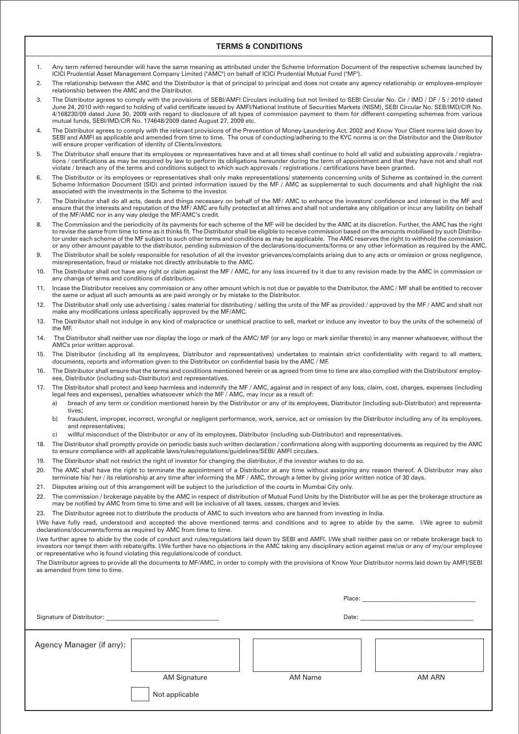## **TERMS & CONDITIONS**

- 1. Any term referred hereunder will have the same meaning as attributed under the Scheme Information Document of the respective schemes launched by IClCI Prudential Asset Management Company Limited ("AMC") on behalf of ICICI Prudential Mutual Fund ("MF").
- 2. The relationship between the AMC and the Distributor is that of principal to principal and does not create any agency relationship or employee-employer relationship between the AMC and the Distributor.
- 3. The Distributor agrees to comply with the provisions of SEBI/AMFI Circulars including but not limited to SEBI Circular No. Cir / IMD / DF / 5 / 2010 dated June 24, 2010 with regard to holding of valid certificate issued by AMFI/National Institute of Securities Markets (NISM), SEBI Circular No. SEB/IMD/CIR No. 4/168230/09 dated June 30, 2009 with regard to disclosure of all types of commission payment to them for different competing schemes from various mutual funds, SEBI/IMD/CIR No. 174648/2009 dated August 27, 2009 etc.
- 4. The Distributor agrees to comply with the relevant provisions of the Prevention of Money-Laundering Act, 2002 and Know Your Client norms laid down by SEBI and AMFI as applicable and amended from time to time. The onus of conducting/adhering to the KYC norms is on the Distributor and the Distributor will ensure proper verification of identity of Clients/investors.
- 5. The Distributor shall ensure that its employees or representatives have and at all times shall continue to hold all valid and subsisting approvals / registrations / certifications as may be required by law to perform its obligations hereunder during the term of appointment and that they have not and shall not violate / breach any of the terms and conditions subject to which such approvals / registrations / certifications have been granted.
- 6. The Distributor or its employees or representatives shall only make representations/ statements concerning units of Scheme as contained in the current Scheme Information Document (SID) and printed information issued by the MF / AMC as supplemental to such documents and shall highlight the risk associated with the investments in the Scheme to the investor.
- 7. The Distributor shall do all acts, deeds and things necessary on behalf of the MF/ AMC to enhance the investors' confidence and interest in the MF and ensure that the interests and reputation of the MF/ AMC are fully protected at all times and shall not undertake any obligation or incur any liability on behalf of the MF/AMC nor in any way pledge the MF/AMC's credit.
- 8. The Commission and the periodicity of its payments for each scheme of the MF will be decided by the AMC at its discretion. Further, the AMC has the right to revise the same from time to time as it thinks fit. The Distributor shall be eligible to receive commission based on the amounts mobilised by such Distributor under each scheme of the MF subject to such other terms and conditions as may be applicable. The AMC reserves the right to withhold the commission or any other amount payable to the distributor, pending submission of the declarations/documents/forms or any other information as required by the AMC.
- 9. The Distributor shall be solely responsible for resolution of all the investor grievances/complaints arising due to any acts or omission or gross negligence, misrepresentation, fraud or mistake not directly attributable to the AMC.
- 10. The Distributor shall not have any right or claim against the MF / AMC, for any loss incurred by it due to any revision made by the AMC in commission or any change of terms and conditions of distribution.
- 11. lncase the Distributor receives any commission or any other amount which is not due or payable to the Distributor, the AMC / MF shall be entitled to recover the same or adjust all such amounts as are paid wrongly or by mistake to the Distributor.
- 12. The Distributor shall only use advertising / sales material for distributing / selling the units of the MF as provided / approved by the MF / AMC and shall not make any modifications unless specifically approved by the MF/AMC.
- 13. The Distributor shall not indulge in any kind of malpractice or unethical practice to sell, market or induce any investor to buy the units of the scheme(s) of the MF.
- 14. The Distributor shall neither use nor display the logo or mark of the AMC/ MF (or any logo or mark similar thereto) in any manner whatsoever, without the AMC's prior written approval.
- 15. The Distributor (including all its employees, Distributor and representatives) undertakes to maintain strict confidentiality with regard to all matters, documents, reports and information given to the Distributor on confidential basis by the AMC / MF.
- 16. The Distributor shall ensure that the terms and conditions mentioned herein or as agreed from time to time are also complied with the Distributors' employees, Distributor (including sub-Distributor) and representatives.
- 17. The Distributor shall protect and keep harmless and indemnify the MF / AMC, against and in respect of any loss, claim, cost, charges, expenses (including legal fees and expenses), penalties whatsoever which the MF / AMC, may incur as a result of:
	- a) breach of any term or condition mentioned herein by the Distributor or any of its employees, Distributor (including sub-Distributor) and representatives;
	- b) fraudulent, improper, incorrect, wrongful or negligent performance, work, service, act or omission by the Distributor including any of its employees, and representatives;
	- c) willful misconduct of the Distributor or any of its employees, Distributor (including sub-Distributor) and representatives.
- 18. The Distributor shall promptly provide on periodic basis such written declaration / confirmations along with supporting documents as required by the AMC to ensure compliance with all applicable laws/rules/regulations/guidelines/SEBI/ AMFI circulars.
- 19. The Distributor shall not restrict the right of investor for changing the distributor, if the investor wishes to do so.
- 20. The AMC shall have the right to terminate the appointment of a Distributor at any time without assigning any reason thereof. A Distributor may also terminate his/ her / its relationship at any time after informing the MF / AMC, through a letter by giving prior written notice of 30 days.
- 21. Disputes arising out of this arrangement will be subject to the jurisdiction of the courts in Mumbai City only.
- 22. The commission / brokerage payable by the AMC in respect of distribution of Mutual Fund Units by the Distributor will be as per the brokerage structure as may be notified by AMC from time to time and will be inclusive of all taxes, cesses, charges and levies.
- 23. The Distributor agrees not to distribute the products of AMC to such investors who are banned from investing in India.

l/We have fully read, understood and accepted the above mentioned terms and conditions and to agree to abide by the same. I/We agree to submit declarations/documents/forms as required by AMC from time to time.

I/we further agree to abide by the code of conduct and rules/regulations laid down by SEBI and AMFI. I/We shall neither pass on or rebate brokerage back to investors nor tempt them with rebate/gifts. I/We further have no objections in the AMC taking any disciplinary action against me/us or any of my/our employee or representative who is found violating this regulations/code of conduct.

The Distributor agrees to provide all the documents to MF/AMC, in order to comply with the provisions of Know Your Distributor norms laid down by AMFI/SEBI as amended from time to time.

|                           |                                       |         | Place: The contract of the contract of the contract of the contract of the contract of the contract of the contract of the contract of the contract of the contract of the contract of the contract of the contract of the con |        |  |
|---------------------------|---------------------------------------|---------|--------------------------------------------------------------------------------------------------------------------------------------------------------------------------------------------------------------------------------|--------|--|
| Signature of Distributor: |                                       | Date:   |                                                                                                                                                                                                                                |        |  |
| Agency Manager (if any):  | <b>AM Signature</b><br>Not applicable | AM Name |                                                                                                                                                                                                                                | AM ARN |  |